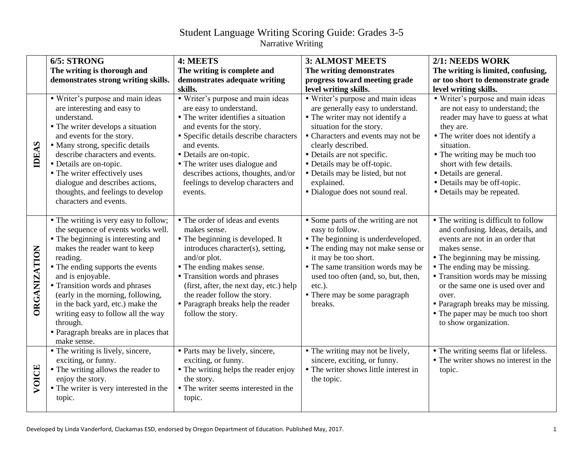## Student Language Writing Scoring Guide: Grades 3-5 Narrative Writing

|                     | 6/5: STRONG                                                                                                                                                                                                                                                                                                                                                                                                                                  | 4: MEETS                                                                                                                                                                                                                                                                                                                                       | <b>3: ALMOST MEETS</b>                                                                                                                                                                                                                                                                                                                               | 2/1: NEEDS WORK                                                                                                                                                                                                                                                                                                                                                                        |
|---------------------|----------------------------------------------------------------------------------------------------------------------------------------------------------------------------------------------------------------------------------------------------------------------------------------------------------------------------------------------------------------------------------------------------------------------------------------------|------------------------------------------------------------------------------------------------------------------------------------------------------------------------------------------------------------------------------------------------------------------------------------------------------------------------------------------------|------------------------------------------------------------------------------------------------------------------------------------------------------------------------------------------------------------------------------------------------------------------------------------------------------------------------------------------------------|----------------------------------------------------------------------------------------------------------------------------------------------------------------------------------------------------------------------------------------------------------------------------------------------------------------------------------------------------------------------------------------|
|                     | The writing is thorough and                                                                                                                                                                                                                                                                                                                                                                                                                  | The writing is complete and                                                                                                                                                                                                                                                                                                                    | The writing demonstrates                                                                                                                                                                                                                                                                                                                             | The writing is limited, confusing,                                                                                                                                                                                                                                                                                                                                                     |
|                     | demonstrates strong writing skills.                                                                                                                                                                                                                                                                                                                                                                                                          | demonstrates adequate writing                                                                                                                                                                                                                                                                                                                  | progress toward meeting grade                                                                                                                                                                                                                                                                                                                        | or too short to demonstrate grade                                                                                                                                                                                                                                                                                                                                                      |
|                     |                                                                                                                                                                                                                                                                                                                                                                                                                                              | skills.                                                                                                                                                                                                                                                                                                                                        | level writing skills.                                                                                                                                                                                                                                                                                                                                | level writing skills.                                                                                                                                                                                                                                                                                                                                                                  |
| <b>IDEAS</b>        | • Writer's purpose and main ideas<br>are interesting and easy to<br>understand.<br>• The writer develops a situation<br>and events for the story.<br>• Many strong, specific details<br>describe characters and events.<br>• Details are on-topic.<br>• The writer effectively uses<br>dialogue and describes actions,<br>thoughts, and feelings to develop<br>characters and events.                                                        | • Writer's purpose and main ideas<br>are easy to understand.<br>• The writer identifies a situation<br>and events for the story.<br>• Specific details describe characters<br>and events.<br>• Details are on-topic.<br>• The writer uses dialogue and<br>describes actions, thoughts, and/or<br>feelings to develop characters and<br>events. | • Writer's purpose and main ideas<br>are generally easy to understand.<br>• The writer may not identify a<br>situation for the story.<br>• Characters and events may not be<br>clearly described.<br>• Details are not specific.<br>• Details may be off-topic.<br>• Details may be listed, but not<br>explained.<br>· Dialogue does not sound real. | • Writer's purpose and main ideas<br>are not easy to understand; the<br>reader may have to guess at what<br>they are.<br>• The writer does not identify a<br>situation.<br>• The writing may be much too<br>short with few details.<br>• Details are general.<br>• Details may be off-topic.<br>• Details may be repeated.                                                             |
| <b>ORGANIZATION</b> | • The writing is very easy to follow;<br>the sequence of events works well.<br>• The beginning is interesting and<br>makes the reader want to keep<br>reading.<br>• The ending supports the events<br>and is enjoyable.<br>• Transition words and phrases<br>(early in the morning, following,<br>in the back yard, etc.) make the<br>writing easy to follow all the way<br>through.<br>• Paragraph breaks are in places that<br>make sense. | • The order of ideas and events<br>makes sense.<br>• The beginning is developed. It<br>introduces character(s), setting,<br>and/or plot.<br>• The ending makes sense.<br>• Transition words and phrases<br>(first, after, the next day, etc.) help<br>the reader follow the story.<br>• Paragraph breaks help the reader<br>follow the story.  | • Some parts of the writing are not<br>easy to follow.<br>• The beginning is underdeveloped.<br>• The ending may not make sense or<br>it may be too short.<br>• The same transition words may be<br>used too often (and, so, but, then,<br>etc.).<br>• There may be some paragraph<br>breaks.                                                        | • The writing is difficult to follow<br>and confusing. Ideas, details, and<br>events are not in an order that<br>makes sense.<br>• The beginning may be missing.<br>• The ending may be missing.<br>• Transition words may be missing<br>or the same one is used over and<br>over.<br>• Paragraph breaks may be missing.<br>• The paper may be much too short<br>to show organization. |
| VOICE               | • The writing is lively, sincere,<br>exciting, or funny.<br>• The writing allows the reader to<br>enjoy the story.<br>• The writer is very interested in the<br>topic.                                                                                                                                                                                                                                                                       | • Parts may be lively, sincere,<br>exciting, or funny.<br>• The writing helps the reader enjoy<br>the story.<br>• The writer seems interested in the<br>topic.                                                                                                                                                                                 | • The writing may not be lively,<br>sincere, exciting, or funny.<br>• The writer shows little interest in<br>the topic.                                                                                                                                                                                                                              | • The writing seems flat or lifeless.<br>• The writer shows no interest in the<br>topic.                                                                                                                                                                                                                                                                                               |